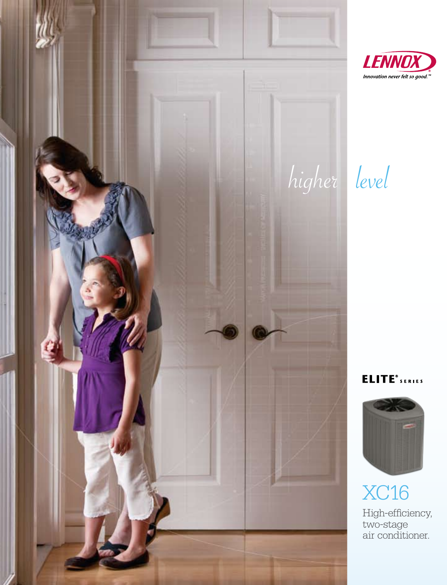



### **ELITE**<sup>®</sup> SERIES



XC16 High-efficiency, two-stage air conditioner.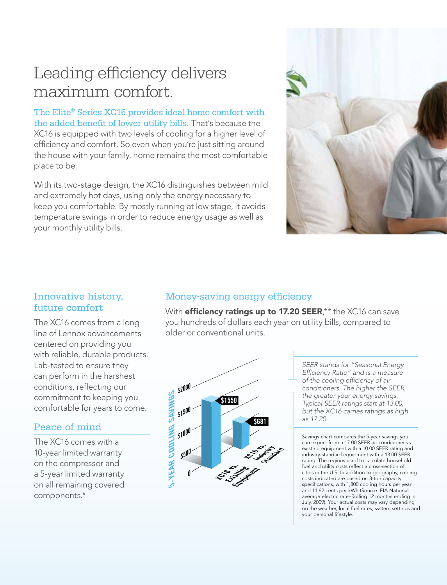## Leading efficiency delivers maximum comfort.

The Elite® Series XC16 provides ideal home comfort with the added benefit of lower utility bills. That's because the XC16 is equipped with two levels of cooling for a higher level of efficiency and comfort. So even when you're just sitting around the house with your family, home remains the most comfortable place to be.

With its two-stage design, the XC16 distinguishes between mild and extremely hot days, using only the energy necessary to keep you comfortable. By mostly running at low stage, it avoids temperature swings in order to reduce energy usage as well as your monthly utility bills.



### Innovative history, future comfort

The XC16 comes from a long line of Lennox advancements centered on providing you with reliable, durable products. Lab-tested to ensure they can perform in the harshest conditions, reflecting our commitment to keeping you comfortable for years to come.

### Peace of mind

The XC16 comes with a 10-year limited warranty on the compressor and a 5-year limited warranty on all remaining covered components.\*

### Money-saving energy efficiency

With **efficiency ratings up to 17.20 SEER**,\*\* the XC16 can save you hundreds of dollars each year on utility bills, compared to older or conventional units.



*SEER stands for "Seasonal Energy Efficiency Ratio" and is a measure of the cooling efficiency of air conditioners. The higher the SEER, the greater your energy savings. Typical SEER ratings start at 13.00, but the XC16 carries ratings as high as 17.20.* 

Savings chart compares the 5-year savings you can expect from a 17.00 SEER air conditioner vs. existing equipment with a 10.00 SEER rating and industry-standard equipment with a 13.00 SEER rating. The regions used to calculate household fuel and utility costs reflect a cross-section of cities in the U.S. In addition to geography, cooling costs indicated are based on 3-ton capacity specifications, with 1,800 cooling hours per year and 11.62 cents per kWh (Source: EIA National average electric rate–Rolling 12 months ending in July, 2009). Your actual costs may vary depending on the weather, local fuel rates, system settings and your personal lifestyle.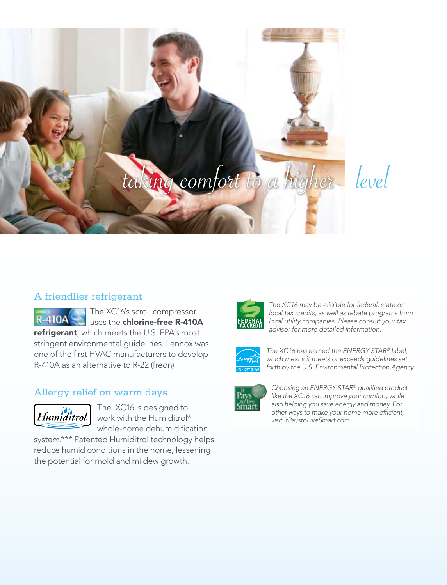

# level

### A friendlier refrigerant

The XC16's scroll compressor uses the chlorine-free R-410A refrigerant, which meets the U.S. EPA's most stringent environmental guidelines. Lennox was one of the first HVAC manufacturers to develop R-410A as an alternative to R-22 (freon).

### Allergy relief on warm days



The XC16 is designed to work with the Humiditrol® whole-home dehumidification

system.\*\*\* Patented Humiditrol technology helps reduce humid conditions in the home, lessening the potential for mold and mildew growth.



*The XC16 may be eligible for federal, state or local tax credits, as well as rebate programs from local utility companies. Please consult your tax advisor for more detailed information.* 



*The XC16 has earned the ENERGY STAR® label, which means it meets or exceeds guidelines set forth by the U.S. Environmental Protection Agency.*



*Choosing an ENERGY STAR® qualified product like the XC16 can improve your comfort, while also helping you save energy and money. For other ways to make your home more efficient, visit ItPaystoLiveSmart.com.*